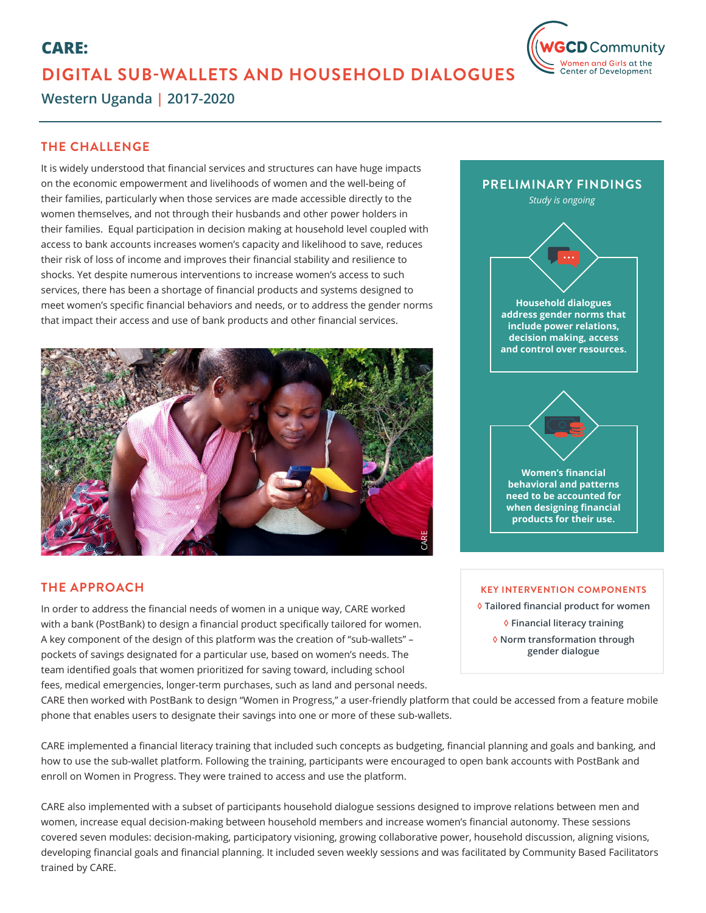# **CARE: DIGITAL SUB-WALLETS AND HOUSEHOLD DIALOGUES**



**Western Uganda | 2017-2020**

# **THE CHALLENGE**

It is widely understood that financial services and structures can have huge impacts on the economic empowerment and livelihoods of women and the well-being of their families, particularly when those services are made accessible directly to the women themselves, and not through their husbands and other power holders in their families. Equal participation in decision making at household level coupled with access to bank accounts increases women's capacity and likelihood to save, reduces their risk of loss of income and improves their financial stability and resilience to shocks. Yet despite numerous interventions to increase women's access to such services, there has been a shortage of financial products and systems designed to meet women's specific financial behaviors and needs, or to address the gender norms that impact their access and use of bank products and other financial services.



# **THE APPROACH**

In order to address the financial needs of women in a unique way, CARE worked with a bank (PostBank) to design a financial product specifically tailored for women. A key component of the design of this platform was the creation of "sub-wallets" – pockets of savings designated for a particular use, based on women's needs. The team identified goals that women prioritized for saving toward, including school fees, medical emergencies, longer-term purchases, such as land and personal needs.



#### **KEY INTERVENTION COMPONENTS**

**◊ Tailored financial product for women ◊ Financial literacy training ◊ Norm transformation through** 

**gender dialogue**

CARE then worked with PostBank to design "Women in Progress," a user-friendly platform that could be accessed from a feature mobile phone that enables users to designate their savings into one or more of these sub-wallets.

CARE implemented a financial literacy training that included such concepts as budgeting, financial planning and goals and banking, and how to use the sub-wallet platform. Following the training, participants were encouraged to open bank accounts with PostBank and enroll on Women in Progress. They were trained to access and use the platform.

CARE also implemented with a subset of participants household dialogue sessions designed to improve relations between men and women, increase equal decision-making between household members and increase women's financial autonomy. These sessions covered seven modules: decision-making, participatory visioning, growing collaborative power, household discussion, aligning visions, developing financial goals and financial planning. It included seven weekly sessions and was facilitated by Community Based Facilitators trained by CARE.